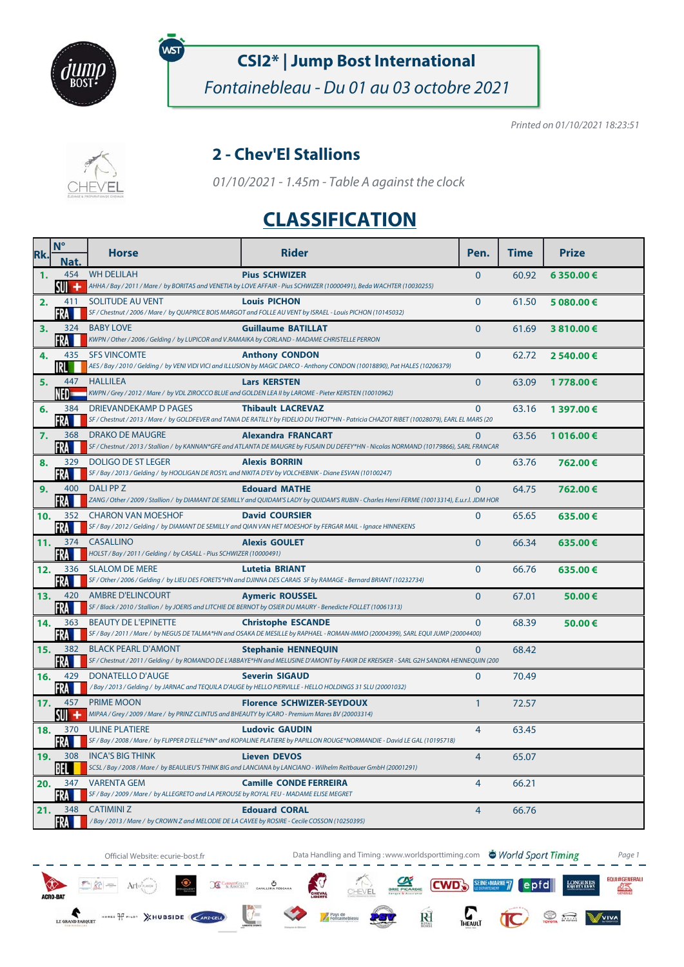

พร

# **CSI2\* | Jump Bost International**

Fontainebleau - Du 01 au 03 octobre 2021

Printed on 01/10/2021 18:23:51



#### **2 - Chev'El Stallions**

01/10/2021 - 1.45m - Table A against the clock

## **CLASSIFICATION**

| Rk. | $N^{\circ}$<br>Nat | <b>Horse</b>                                                                                                          | <b>Rider</b>                                                                                                                                                           | Pen.           | <b>Time</b> | <b>Prize</b> |
|-----|--------------------|-----------------------------------------------------------------------------------------------------------------------|------------------------------------------------------------------------------------------------------------------------------------------------------------------------|----------------|-------------|--------------|
| 1.  | su +               | 454 WH DELILAH                                                                                                        | <b>Pius SCHWIZER</b><br>AHHA / Bay / 2011 / Mare / by BORITAS and VENETIA by LOVE AFFAIR - Pius SCHWIZER (10000491), Beda WACHTER (10030255)                           | $\mathbf{0}$   | 60.92       | 6 350.00€    |
| 2.  | 411<br>FRA         | SOLITUDE AU VENT                                                                                                      | <b>Louis PICHON</b><br>SF / Chestnut / 2006 / Mare / by QUAPRICE BOIS MARGOT and FOLLE AU VENT by ISRAEL - Louis PICHON (10145032)                                     | $\Omega$       | 61.50       | 5 080.00 €   |
| 3.  | 324<br>FRA         | <b>BABY LOVE</b><br>KWPN / Other / 2006 / Gelding / by LUPICOR and V.RAMAIKA by CORLAND - MADAME CHRISTELLE PERRON    | <b>Guillaume BATILLAT</b>                                                                                                                                              | $\Omega$       | 61.69       | 3810.00€     |
| 4.  | 435<br>IRL         | <b>SFS VINCOMTE</b>                                                                                                   | <b>Anthony CONDON</b><br>AES / Bay / 2010 / Gelding / by VENI VIDI VICI and ILLUSION by MAGIC DARCO - Anthony CONDON (10018890), Pat HALES (10206379)                  | $\Omega$       | 62.72       | 2 540.00 €   |
| 5.  | 447                | <b>HALLILEA</b>                                                                                                       | <b>Lars KERSTEN</b><br>KWPN / Grey / 2012 / Mare / by VDL ZIROCCO BLUE and GOLDEN LEA II by LAROME - Pieter KERSTEN (10010962)                                         | $\Omega$       | 63.09       | 1778.00€     |
| 6.  | 384<br>FRA III     | <b>DRIEVANDEKAMP D PAGES</b>                                                                                          | <b>Thibault LACREVAZ</b><br>SF / Chestnut / 2013 / Mare / by GOLDFEVER and TANIA DE RATILLY by FIDELIO DU THOT*HN - Patricia CHAZOT RIBET (10028079), EARL EL MARS (20 | $\Omega$       | 63.16       | 1 397.00 €   |
| 7.  | 368<br>FRA         | <b>DRAKO DE MAUGRE</b>                                                                                                | <b>Alexandra FRANCART</b><br>SF / Chestnut / 2013 / Stallion / by KANNAN*GFE and ATLANTA DE MAUGRE by FUSAIN DU DEFEY*HN - Nicolas NORMAND (10179866), SARL FRANCAR    | $\Omega$       | 63.56       | 1 016.00€    |
| 8.  | 329<br>FRA I       | <b>DOLIGO DE ST LEGER</b>                                                                                             | <b>Alexis BORRIN</b><br>SF / Bay / 2013 / Gelding / by HOOLIGAN DE ROSYL and NIKITA D'EV by VOLCHEBNIK - Diane ESVAN (10100247)                                        | $\mathbf{0}$   | 63.76       | 762.00€      |
| 9.  | 400<br>FRA         | DALI PP Z                                                                                                             | <b>Edouard MATHE</b><br>ZANG / Other / 2009 / Stallion / by DIAMANT DE SEMILLY and QUIDAM'S LADY by QUIDAM'S RUBIN - Charles Henri FERME (10013314), E.u.r.l. JDM HOR  | $\Omega$       | 64.75       | 762.00€      |
| 10. | 352<br>ERA         | <b>CHARON VAN MOESHOF</b>                                                                                             | <b>David COURSIER</b><br>SF / Bay / 2012 / Gelding / by DIAMANT DE SEMILLY and QIAN VAN HET MOESHOF by FERGAR MAIL - Ignace HINNEKENS                                  | $\Omega$       | 65.65       | 635.00€      |
| 11. | FRA M              | 374 CASALLINO<br>HOLST / Bay / 2011 / Gelding / by CASALL - Pius SCHWIZER (10000491)                                  | <b>Alexis GOULET</b>                                                                                                                                                   | $\Omega$       | 66.34       | 635.00€      |
| 12. | 336<br>FRA         | <b>SLALOM DE MERE</b>                                                                                                 | Lutetia BRIANT<br>SF / Other / 2006 / Gelding / by LIEU DES FORETS*HN and DJINNA DES CARAIS SF by RAMAGE - Bernard BRIANT (10232734)                                   | $\overline{0}$ | 66.76       | 635.00€      |
| 13. | 420<br>FRA         | <b>AMBRE D'ELINCOURT</b>                                                                                              | <b>Aymeric ROUSSEL</b><br>SF / Black / 2010 / Stallion / by JOERIS and LITCHIE DE BERNOT by OSIER DU MAURY - Benedicte FOLLET (10061313)                               | $\overline{0}$ | 67.01       | 50.00€       |
| 14. | 363<br>FRA         | <b>BEAUTY DE L'EPINETTE</b>                                                                                           | <b>Christophe ESCANDE</b><br>SF / Bay / 2011 / Mare / by NEGUS DE TALMA*HN and OSAKA DE MESILLE by RAPHAEL - ROMAN-IMMO (20004399), SARL EQUI JUMP (20004400)          | $\mathbf{0}$   | 68.39       | 50.00€       |
| 15. | 382<br>FRA M       | <b>BLACK PEARL D'AMONT</b>                                                                                            | <b>Stephanie HENNEQUIN</b><br>SF / Chestnut / 2011 / Gelding / by ROMANDO DE L'ABBAYE*HN and MELUSINE D'AMONT by FAKIR DE KREISKER - SARL G2H SANDRA HENNEQUIN (200    | $\mathbf{0}$   | 68.42       |              |
| 16. | 429<br>FRA         | <b>DONATELLO D'AUGE</b>                                                                                               | <b>Severin SIGAUD</b><br>/Bay/2013/Gelding/by JARNAC and TEQUILA D'AUGE by HELLO PIERVILLE - HELLO HOLDINGS 31 SLU (20001032)                                          | $\mathbf{0}$   | 70.49       |              |
| 17. | 457<br>SUI +       | <b>PRIME MOON</b><br>MIPAA / Grey / 2009 / Mare / by PRINZ CLINTUS and BHEAUTY by ICARO - Premium Mares BV (20003314) | <b>Florence SCHWIZER-SEYDOUX</b>                                                                                                                                       | $\mathbf{1}$   | 72.57       |              |
| 18. | FRA M              | 370 ULINE PLATIERE                                                                                                    | <b>Ludovic GAUDIN</b><br>SF / Bay / 2008 / Mare / by FLIPPER D'ELLE*HN* and KOPALINE PLATIERE by PAPILLON ROUGE*NORMANDIE - David LE GAL (10195718)                    | $\overline{4}$ | 63.45       |              |
| 19. | 308<br>BEL         | <b>INCA'S BIG THINK</b>                                                                                               | <b>Lieven DEVOS</b><br>SCSL / Bay / 2008 / Mare / by BEAULIEU'S THINK BIG and LANCIANA by LANCIANO - Wilhelm Reitbauer GmbH (20001291)                                 | $\overline{4}$ | 65.07       |              |
| 20. | 347<br>FRA         | <b>VARENTA GEM</b><br>SF / Bay / 2009 / Mare / by ALLEGRETO and LA PEROUSE by ROYAL FEU - MADAME ELISE MEGRET         | <b>Camille CONDE FERREIRA</b>                                                                                                                                          | $\overline{4}$ | 66.21       |              |
| 21. | FRA <b>H</b>       | 348 CATIMINIZ<br>/ Bay / 2013 / Mare / by CROWN Z and MELODIE DE LA CAVEE by ROSIRE - Cecile COSSON (10250395)        | <b>Edouard CORAL</b>                                                                                                                                                   | $\overline{4}$ | 66.76       |              |

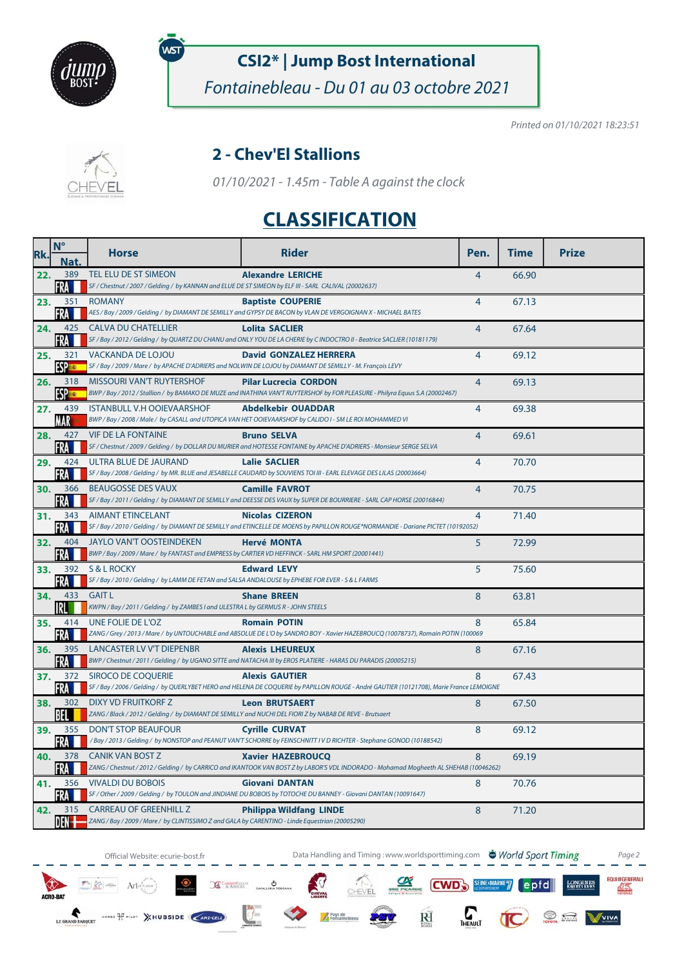

พร

# **CSI2\* | Jump Bost International**

Fontainebleau - Du 01 au 03 octobre 2021

Printed on 01/10/2021 18:23:51



#### **2 - Chev'El Stallions**

01/10/2021 - 1.45m - Table A against the clock

## **CLASSIFICATION**

| Rk. | $N^{\circ}$<br>Nat.  | <b>Horse</b>                                                                                                                       | <b>Rider</b>                                                                                                                                                      | Pen.           | <b>Time</b> | <b>Prize</b> |
|-----|----------------------|------------------------------------------------------------------------------------------------------------------------------------|-------------------------------------------------------------------------------------------------------------------------------------------------------------------|----------------|-------------|--------------|
| 22. | 389<br>FRA           | TEL ELU DE ST SIMEON<br>SF / Chestnut / 2007 / Gelding / by KANNAN and ELUE DE ST SIMEON by ELF III - SARL CALIVAL (20002637)      | <b>Alexandre LERICHE</b>                                                                                                                                          | $\overline{4}$ | 66.90       |              |
| 23. | 351<br><b>FRA</b>    | <b>ROMANY</b>                                                                                                                      | <b>Baptiste COUPERIE</b><br>AES / Bay / 2009 / Gelding / by DIAMANT DE SEMILLY and GYPSY DE BACON by VLAN DE VERGOIGNAN X - MICHAEL BATES                         | $\overline{4}$ | 67.13       |              |
| 24. | 425<br>FRA           | <b>CALVA DU CHATELLIER</b>                                                                                                         | <b>Lolita SACLIER</b><br>SF / Bay / 2012 / Gelding / by QUARTZ DU CHANU and ONLY YOU DE LA CHERIE by C INDOCTRO II - Beatrice SACLIER (10181179)                  | $\overline{4}$ | 67.64       |              |
| 25. | 321<br><b>ESP ES</b> | VACKANDA DE LOJOU                                                                                                                  | <b>David GONZALEZ HERRERA</b><br>SF / Bay / 2009 / Mare / by APACHE D'ADRIERS and NOLWIN DE LOJOU by DIAMANT DE SEMILLY - M. François LEVY                        | $\overline{4}$ | 69.12       |              |
| 26. | 318<br><b>ESPER</b>  | MISSOURI VAN'T RUYTERSHOF                                                                                                          | <b>Pilar Lucrecia CORDON</b><br>BWP / Bay / 2012 / Stallion / by BAMAKO DE MUZE and INATHINA VAN'T RUYTERSHOF by FOR PLEASURE - Philyra Equus S.A (20002467)      | $\overline{4}$ | 69.13       |              |
| 27. | 439<br>MAR           | <b>ISTANBULL V.H OOIEVAARSHOF</b>                                                                                                  | <b>Abdelkebir OUADDAR</b><br>BWP / Bay / 2008 / Male / by CASALL and UTOPICA VAN HET OOIEVAARSHOF by CALIDO I - SM LE ROI MOHAMMED VI                             | $\overline{4}$ | 69.38       |              |
| 28. | 427<br>FRA           | <b>VIF DE LA FONTAINE</b>                                                                                                          | <b>Bruno SELVA</b><br>SF / Chestnut / 2009 / Gelding / by DOLLAR DU MURIER and HOTESSE FONTAINE by APACHE D'ADRIERS - Monsieur SERGE SELVA                        | $\overline{4}$ | 69.61       |              |
| 29. | <b>FRAME</b>         | 424 ULTRA BLUE DE JAURAND                                                                                                          | <b>Lalie SACLIER</b><br>SF / Bay / 2008 / Gelding / by MR. BLUE and JESABELLE CAUDARD by SOUVIENS TOI III - EARL ELEVAGE DES LILAS (20003664)                     | $\overline{4}$ | 70.70       |              |
| 30. | 366<br>FRA           | <b>BEAUGOSSE DES VAUX</b>                                                                                                          | <b>Camille FAVROT</b><br>SF / Bay / 2011 / Gelding / by DIAMANT DE SEMILLY and DEESSE DES VAUX by SUPER DE BOURRIERE - SARL CAP HORSE (20016844)                  | $\overline{4}$ | 70.75       |              |
| 31. | 343<br>FRA           | <b>AIMANT ETINCELANT</b>                                                                                                           | <b>Nicolas CIZERON</b><br>SF / Bay / 2010 / Gelding / by DIAMANT DE SEMILLY and ETINCELLE DE MOENS by PAPILLON ROUGE*NORMANDIE - Dariane PICTET (10192052)        | $\overline{4}$ | 71.40       |              |
| 32. | FRA M                | 404 JAYLO VAN'T OOSTEINDEKEN<br>BWP / Bay / 2009 / Mare / by FANTAST and EMPRESS by CARTIER VD HEFFINCK - SARL HM SPORT (20001441) | <b>Hervé MONTA</b>                                                                                                                                                | 5              | 72.99       |              |
| 33. | 392<br>FRA           | S & L ROCKY<br>SF / Bay / 2010 / Gelding / by LAMM DE FETAN and SALSA ANDALOUSE by EPHEBE FOR EVER - S & L FARMS                   | <b>Edward LEVY</b>                                                                                                                                                | 5              | 75.60       |              |
| 34. | 433<br>IRL           | <b>GAIT L</b><br>KWPN / Bay / 2011 / Gelding / by ZAMBES I and ULESTRA L by GERMUS R - JOHN STEELS                                 | <b>Shane BREEN</b>                                                                                                                                                | 8              | 63.81       |              |
| 35. | 414<br>FRA           | UNE FOLIE DE L'OZ                                                                                                                  | <b>Romain POTIN</b><br>ZANG / Grey / 2013 / Mare / by UNTOUCHABLE and ABSOLUE DE L'O by SANDRO BOY - Xavier HAZEBROUCQ (10078737), Romain POTIN (100069           | 8              | 65.84       |              |
| 36. | 395<br>FRA I         | LANCASTER LV V'T DIEPENBR                                                                                                          | <b>Alexis LHEUREUX</b><br>BWP / Chestnut / 2011 / Gelding / by UGANO SITTE and NATACHA III by EROS PLATIERE - HARAS DU PARADIS (20005215)                         | 8              | 67.16       |              |
| 37. | 372<br>FRA           | SIROCO DE COQUERIE                                                                                                                 | <b>Alexis GAUTIER</b><br>SF / Bay / 2006 / Gelding / by QUERLYBET HERO and HELENA DE COQUERIE by PAPILLON ROUGE - André GAUTIER (10121708), Marie France LEMOIGNE | 8              | 67.43       |              |
| 38. | 302<br>BEL           | DIXY VD FRUITKORF Z<br>ZANG / Black / 2012 / Gelding / by DIAMANT DE SEMILLY and NUCHI DEL FIORI Z by NABAB DE REVE - Brutsaert    | <b>Leon BRUTSAERT</b>                                                                                                                                             | 8              | 67.50       |              |
| 39. | 355<br>FRA III       | <b>DON'T STOP BEAUFOUR</b>                                                                                                         | <b>Cyrille CURVAT</b><br>/Bay / 2013 / Gelding / by NONSTOP and PEANUT VAN'T SCHORRE by FEINSCHNITT I V D RICHTER - Stephane GONOD (10188542)                     | 8              | 69.12       |              |
| 40. | 378<br>FRA           | <b>CANIK VAN BOST Z</b>                                                                                                            | <b>Xavier HAZEBROUCQ</b><br>ZANG / Chestnut / 2012 / Gelding / by CARRICO and IKANTOOK VAN BOST Z by LABOR'S VDL INDORADO - Mohamad Mogheeth AL SHEHAB (10046262) | 8              | 69.19       |              |
| 41. | FRA                  | 356 VIVALDI DU BOBOIS                                                                                                              | <b>Giovani DANTAN</b><br>SF / Other / 2009 / Gelding / by TOULON and JINDIANE DU BOBOIS by TOTOCHE DU BANNEY - Giovani DANTAN (10091647)                          | 8              | 70.76       |              |
| 42. | DEN †                | 315 CARREAU OF GREENHILL Z<br>ZANG / Bay / 2009 / Mare / by CLINTISSIMO Z and GALA by CARENTINO - Linde Equestrian (20005290)      | <b>Philippa Wildfang LINDE</b>                                                                                                                                    | 8              | 71.20       |              |